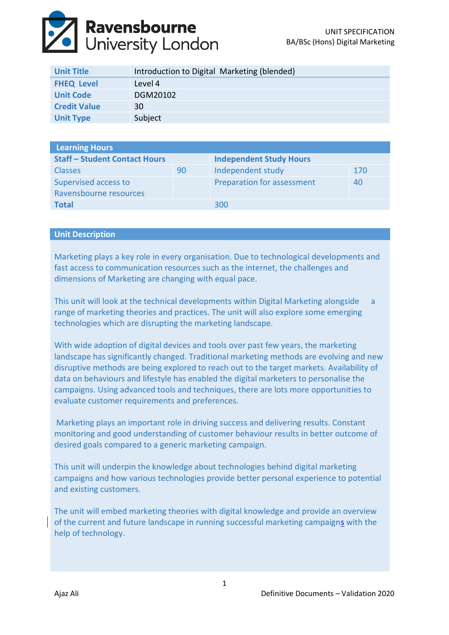

| <b>Unit Title</b>   | Introduction to Digital Marketing (blended) |
|---------------------|---------------------------------------------|
| <b>FHEQ Level</b>   | Level 4                                     |
| <b>Unit Code</b>    | DGM20102                                    |
| <b>Credit Value</b> | <b>30</b>                                   |
| <b>Unit Type</b>    | Subject                                     |

| <b>Learning Hours</b>                |    |                                |     |  |
|--------------------------------------|----|--------------------------------|-----|--|
| <b>Staff - Student Contact Hours</b> |    | <b>Independent Study Hours</b> |     |  |
| <b>Classes</b>                       | 90 | Independent study              | 170 |  |
| Supervised access to                 |    | Preparation for assessment     | 40  |  |
| Ravensbourne resources               |    |                                |     |  |
| <b>Total</b>                         |    | 300                            |     |  |

### **Unit Description**

Marketing plays a key role in every organisation. Due to technological developments and fast access to communication resources such as the internet, the challenges and dimensions of Marketing are changing with equal pace.

This unit will look at the technical developments within Digital Marketing alongside a range of marketing theories and practices. The unit will also explore some emerging technologies which are disrupting the marketing landscape.

With wide adoption of digital devices and tools over past few years, the marketing landscape has significantly changed. Traditional marketing methods are evolving and new disruptive methods are being explored to reach out to the target markets. Availability of data on behaviours and lifestyle has enabled the digital marketers to personalise the campaigns. Using advanced tools and techniques, there are lots more opportunities to evaluate customer requirements and preferences.

Marketing plays an important role in driving success and delivering results. Constant monitoring and good understanding of customer behaviour results in better outcome of desired goals compared to a generic marketing campaign.

This unit will underpin the knowledge about technologies behind digital marketing campaigns and how various technologies provide better personal experience to potential and existing customers.

The unit will embed marketing theories with digital knowledge and provide an overview of the current and future landscape in running successful marketing campaigns with the help of technology.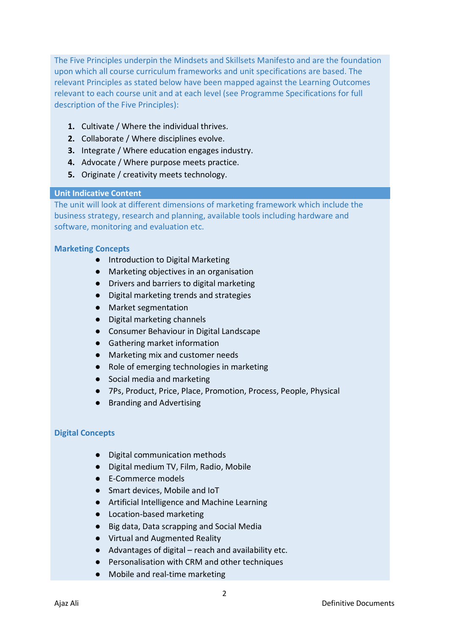The Five Principles underpin the Mindsets and Skillsets Manifesto and are the foundation upon which all course curriculum frameworks and unit specifications are based. The relevant Principles as stated below have been mapped against the Learning Outcomes relevant to each course unit and at each level (see Programme Specifications for full description of the Five Principles):

- **1.** Cultivate / Where the individual thrives.
- **2.** Collaborate / Where disciplines evolve.
- **3.** Integrate / Where education engages industry.
- **4.** Advocate / Where purpose meets practice.
- **5.** Originate / creativity meets technology.

# **Unit Indicative Content**

The unit will look at different dimensions of marketing framework which include the business strategy, research and planning, available tools including hardware and software, monitoring and evaluation etc.

# **Marketing Concepts**

- Introduction to Digital Marketing
- Marketing objectives in an organisation
- Drivers and barriers to digital marketing
- Digital marketing trends and strategies
- Market segmentation
- Digital marketing channels
- Consumer Behaviour in Digital Landscape
- Gathering market information
- Marketing mix and customer needs
- Role of emerging technologies in marketing
- Social media and marketing
- 7Ps, Product, Price, Place, Promotion, Process, People, Physical
- Branding and Advertising

# **Digital Concepts**

- Digital communication methods
- Digital medium TV, Film, Radio, Mobile
- E-Commerce models
- Smart devices, Mobile and IoT
- Artificial Intelligence and Machine Learning
- Location-based marketing
- Big data, Data scrapping and Social Media
- Virtual and Augmented Reality
- Advantages of digital reach and availability etc.
- Personalisation with CRM and other techniques
- Mobile and real-time marketing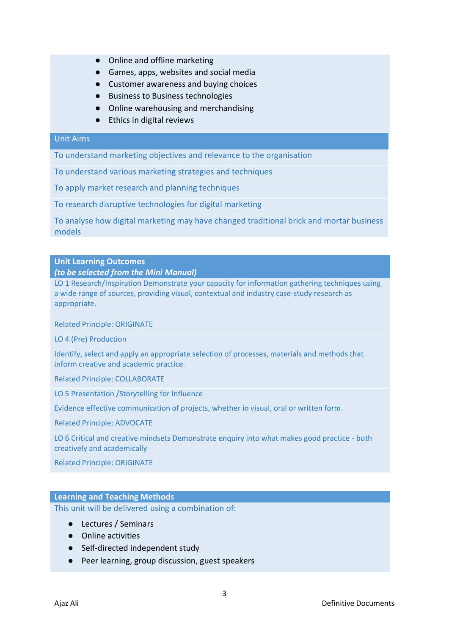- Online and offline marketing
- Games, apps, websites and social media
- Customer awareness and buying choices
- Business to Business technologies
- Online warehousing and merchandising
- Ethics in digital reviews

### Unit Aims

To understand marketing objectives and relevance to the organisation

To understand various marketing strategies and techniques

To apply market research and planning techniques

To research disruptive technologies for digital marketing

To analyse how digital marketing may have changed traditional brick and mortar business models

### **Unit Learning Outcomes**

#### *(to be selected from the Mini Manual)*

LO 1 Research/Inspiration Demonstrate your capacity for information gathering techniques using a wide range of sources, providing visual, contextual and industry case-study research as appropriate.

Related Principle: ORIGINATE

LO 4 (Pre) Production

Identify, select and apply an appropriate selection of processes, materials and methods that inform creative and academic practice.

Related Principle: COLLABORATE

LO 5 Presentation /Storytelling for Influence

Evidence effective communication of projects, whether in visual, oral or written form.

Related Principle: ADVOCATE

LO 6 Critical and creative mindsets Demonstrate enquiry into what makes good practice - both creatively and academically

Related Principle: ORIGINATE

# **Learning and Teaching Methods**

This unit will be delivered using a combination of:

- Lectures / Seminars
- Online activities
- Self-directed independent study
- Peer learning, group discussion, guest speakers